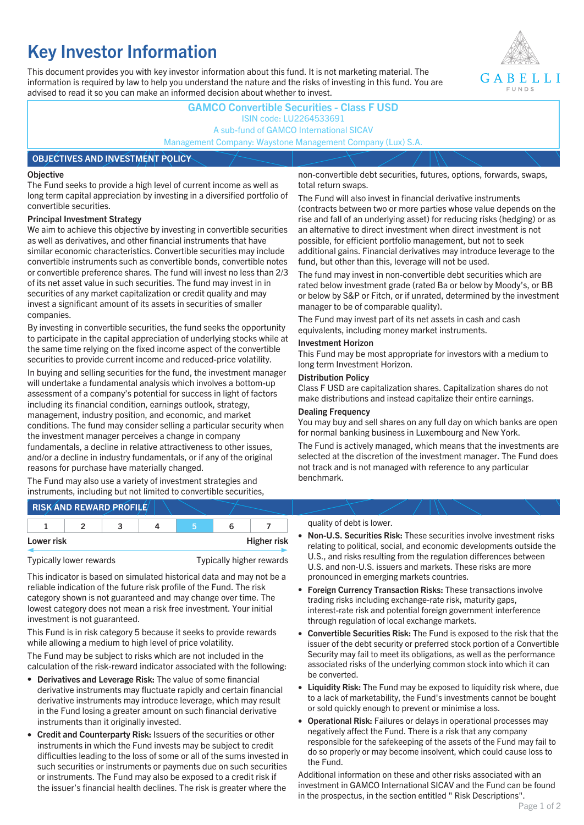# **Key Investor Information**

This document provides you with key investor information about this fund. It is not marketing material. The information is required by law to help you understand the nature and the risks of investing in this fund. You are advised to read it so you can make an informed decision about whether to invest.



### **GAMCO Convertible Securities - Class F USD** ISIN code: LU2264533691 A sub-fund of GAMCO International SICAV Management Company: Waystone Management Company (Lux) S.A.

#### **OBJECTIVES AND INVESTMENT POLICY**

#### **Objective**

The Fund seeks to provide a high level of current income as well as long term capital appreciation by investing in a diversified portfolio of convertible securities.

#### **Principal Investment Strategy**

We aim to achieve this objective by investing in convertible securities as well as derivatives, and other financial instruments that have similar economic characteristics. Convertible securities may include convertible instruments such as convertible bonds, convertible notes or convertible preference shares. The fund will invest no less than 2/3 of its net asset value in such securities. The fund may invest in in securities of any market capitalization or credit quality and may invest a significant amount of its assets in securities of smaller companies.

By investing in convertible securities, the fund seeks the opportunity to participate in the capital appreciation of underlying stocks while at the same time relying on the fixed income aspect of the convertible securities to provide current income and reduced-price volatility.

In buying and selling securities for the fund, the investment manager will undertake a fundamental analysis which involves a bottom-up assessment of a company's potential for success in light of factors including its financial condition, earnings outlook, strategy, management, industry position, and economic, and market conditions. The fund may consider selling a particular security when the investment manager perceives a change in company fundamentals, a decline in relative attractiveness to other issues, and/or a decline in industry fundamentals, or if any of the original reasons for purchase have materially changed.

The Fund may also use a variety of investment strategies and instruments, including but not limited to convertible securities, non-convertible debt securities, futures, options, forwards, swaps, total return swaps.

The Fund will also invest in financial derivative instruments (contracts between two or more parties whose value depends on the rise and fall of an underlying asset) for reducing risks (hedging) or as an alternative to direct investment when direct investment is not possible, for efficient portfolio management, but not to seek additional gains. Financial derivatives may introduce leverage to the fund, but other than this, leverage will not be used.

The fund may invest in non-convertible debt securities which are rated below investment grade (rated Ba or below by Moody's, or BB or below by S&P or Fitch, or if unrated, determined by the investment manager to be of comparable quality).

The Fund may invest part of its net assets in cash and cash equivalents, including money market instruments.

#### **Investment Horizon**

This Fund may be most appropriate for investors with a medium to long term Investment Horizon.

#### **Distribution Policy**

Class F USD are capitalization shares. Capitalization shares do not make distributions and instead capitalize their entire earnings.

#### **Dealing Frequency**

You may buy and sell shares on any full day on which banks are open for normal banking business in Luxembourg and New York.

The Fund is actively managed, which means that the investments are selected at the discretion of the investment manager. The Fund does not track and is not managed with reference to any particular benchmark.

## **RISK AND REWARD PROFILE**

|            | - |  |                    |
|------------|---|--|--------------------|
| Lower risk |   |  | <b>Higher risk</b> |

Typically lower rewards Typically higher rewards

This indicator is based on simulated historical data and may not be a reliable indication of the future risk profile of the Fund. The risk category shown is not guaranteed and may change over time. The lowest category does not mean a risk free investment. Your initial investment is not guaranteed.

This Fund is in risk category 5 because it seeks to provide rewards while allowing a medium to high level of price volatility.

The Fund may be subject to risks which are not included in the calculation of the risk-reward indicator associated with the following:

- **Derivatives and Leverage Risk:** The value of some financial derivative instruments may fluctuate rapidly and certain financial derivative instruments may introduce leverage, which may result in the Fund losing a greater amount on such financial derivative instruments than it originally invested.
- **Credit and Counterparty Risk:** Issuers of the securities or other instruments in which the Fund invests may be subject to credit difficulties leading to the loss of some or all of the sums invested in such securities or instruments or payments due on such securities or instruments. The Fund may also be exposed to a credit risk if the issuer's financial health declines. The risk is greater where the

#### quality of debt is lower.

- **Non-U.S. Securities Risk:** These securities involve investment risks relating to political, social, and economic developments outside the U.S., and risks resulting from the regulation differences between U.S. and non-U.S. issuers and markets. These risks are more pronounced in emerging markets countries.
- **Foreign Currency Transaction Risks:** These transactions involve trading risks including exchange-rate risk, maturity gaps, interest-rate risk and potential foreign government interference through regulation of local exchange markets.
- **Convertible Securities Risk:** The Fund is exposed to the risk that the issuer of the debt security or preferred stock portion of a Convertible Security may fail to meet its obligations, as well as the performance associated risks of the underlying common stock into which it can be converted.
- **Liquidity Risk:** The Fund may be exposed to liquidity risk where, due to a lack of marketability, the Fund's investments cannot be bought or sold quickly enough to prevent or minimise a loss.
- **Operational Risk:** Failures or delays in operational processes may negatively affect the Fund. There is a risk that any company responsible for the safekeeping of the assets of the Fund may fail to do so properly or may become insolvent, which could cause loss to the Fund.

Additional information on these and other risks associated with an investment in GAMCO International SICAV and the Fund can be found in the prospectus, in the section entitled " Risk Descriptions".